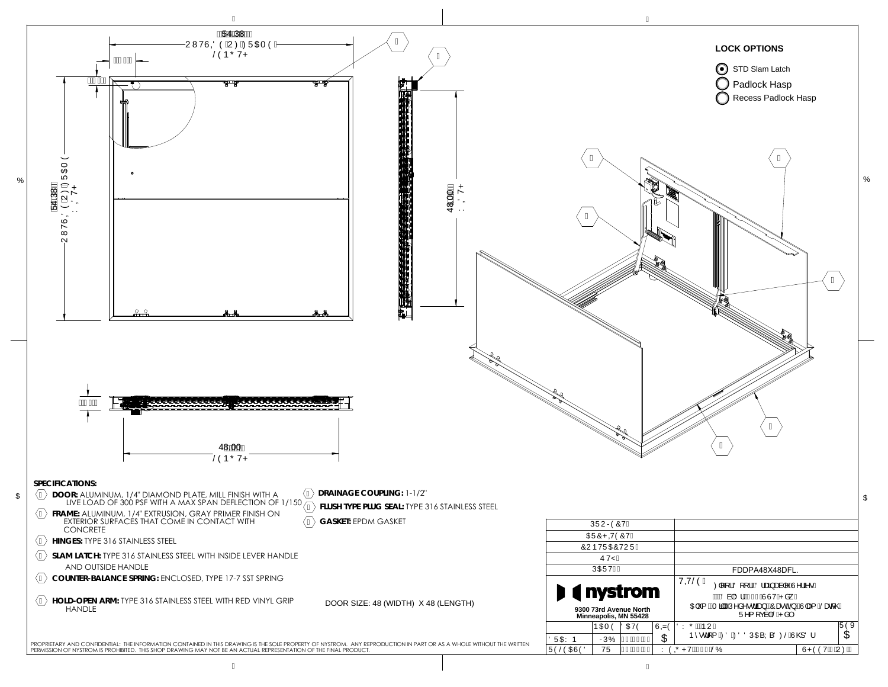## **LOCK OPTIONS**



48.00

48.00

FDDPA48X48DFL.